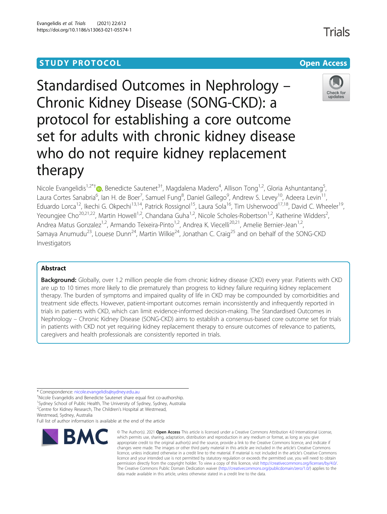# **STUDY PROTOCOL CONSUMING THE RESERVE ACCESS**

Standardised Outcomes in Nephrology – Chronic Kidney Disease (SONG-CKD): a protocol for establishing a core outcome set for adults with chronic kidney disease who do not require kidney replacement therapy

Nicole Evangelidis<sup>1[,](http://orcid.org/0000-0001-9184-680X)2\*†</sup>®, Benedicte Sautenet<sup>3†</sup>, Magdalena Madero<sup>4</sup>, Allison Tong<sup>1,2</sup>, Gloria Ashuntantang<sup>5</sup> , Laura Cortes Sanabria<sup>6</sup>, Ian H. de Boer<sup>7</sup>, Samuel Fung<sup>8</sup>, Daniel Gallego<sup>9</sup>, Andrew S. Levey<sup>10</sup>, Adeera Levin<sup>11</sup>, Eduardo Lorca<sup>12</sup>, Ikechi G. Okpechi<sup>13,14</sup>, Patrick Rossignol<sup>15</sup>, Laura Sola<sup>16</sup>, Tim Usherwood<sup>17,18</sup>, David C. Wheeler<sup>19</sup>, Yeoungjee Cho<sup>20,21,22</sup>, Martin Howell<sup>1,2</sup>, Chandana Guha<sup>1,2</sup>, Nicole Scholes-Robertson<sup>1,2</sup>, Katherine Widders<sup>2</sup>, .<br>, Andrea Matus Gonzalez<sup>1,2</sup>, Armando Teixeira-Pinto<sup>1,2</sup>, Andrea K. Viecelli<sup>20,21</sup>, Amelie Bernier-Jean<sup>1,2</sup>, Samaya Anumudu<sup>23</sup>, Louese Dunn<sup>24</sup>, Martin Wilkie<sup>24</sup>, Jonathan C. Craig<sup>25</sup> and on behalf of the SONG-CKD Investigators

## Abstract

Background: Globally, over 1.2 million people die from chronic kidney disease (CKD) every year. Patients with CKD are up to 10 times more likely to die prematurely than progress to kidney failure requiring kidney replacement therapy. The burden of symptoms and impaired quality of life in CKD may be compounded by comorbidities and treatment side effects. However, patient-important outcomes remain inconsistently and infrequently reported in trials in patients with CKD, which can limit evidence-informed decision-making. The Standardised Outcomes in Nephrology – Chronic Kidney Disease (SONG-CKD) aims to establish a consensus-based core outcome set for trials in patients with CKD not yet requiring kidney replacement therapy to ensure outcomes of relevance to patients, caregivers and health professionals are consistently reported in trials.

\* Correspondence: [nicole.evangelidis@sydney.edu.au](mailto:nicole.evangelidis@sydney.edu.au) †

Nicole Evangelidis and Benedicte Sautenet share equal first co-authorship.

<sup>1</sup>Sydney School of Public Health, The University of Sydney, Sydney, Australia <sup>2</sup> Centre for Kidney Research, The Children's Hospital at Westmead,

Westmead, Sydney, Australia

Full list of author information is available at the end of the article



<sup>©</sup> The Author(s), 2021 **Open Access** This article is licensed under a Creative Commons Attribution 4.0 International License, which permits use, sharing, adaptation, distribution and reproduction in any medium or format, as long as you give appropriate credit to the original author(s) and the source, provide a link to the Creative Commons licence, and indicate if changes were made. The images or other third party material in this article are included in the article's Creative Commons licence, unless indicated otherwise in a credit line to the material. If material is not included in the article's Creative Commons licence and your intended use is not permitted by statutory regulation or exceeds the permitted use, you will need to obtain permission directly from the copyright holder. To view a copy of this licence, visit [http://creativecommons.org/licenses/by/4.0/.](http://creativecommons.org/licenses/by/4.0/) The Creative Commons Public Domain Dedication waiver [\(http://creativecommons.org/publicdomain/zero/1.0/](http://creativecommons.org/publicdomain/zero/1.0/)) applies to the data made available in this article, unless otherwise stated in a credit line to the data.

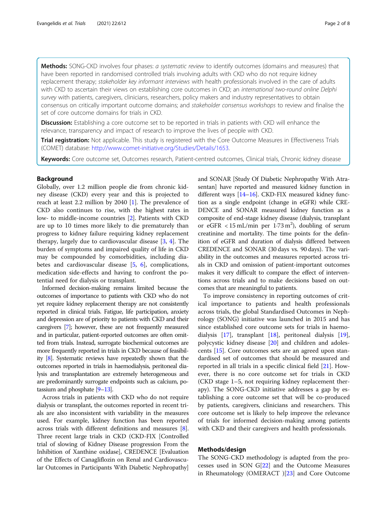Methods: SONG-CKD involves four phases: a systematic review to identify outcomes (domains and measures) that have been reported in randomised controlled trials involving adults with CKD who do not require kidney replacement therapy; stakeholder key informant interviews with health professionals involved in the care of adults with CKD to ascertain their views on establishing core outcomes in CKD; an international two-round online Delphi survey with patients, caregivers, clinicians, researchers, policy makers and industry representatives to obtain consensus on critically important outcome domains; and stakeholder consensus workshops to review and finalise the set of core outcome domains for trials in CKD.

**Discussion:** Establishing a core outcome set to be reported in trials in patients with CKD will enhance the relevance, transparency and impact of research to improve the lives of people with CKD.

**Trial registration:** Not applicable. This study is registered with the Core Outcome Measures in Effectiveness Trials (COMET) database: [http://www.comet-initiative.org/Studies/Details/1653.](http://www.comet-initiative.org/Studies/Details/1653)

Keywords: Core outcome set, Outcomes research, Patient-centred outcomes, Clinical trials, Chronic kidney disease

### Background

Globally, over 1.2 million people die from chronic kidney disease (CKD) every year and this is projected to reach at least 2.2 million by 2040 [\[1](#page-6-0)]. The prevalence of CKD also continues to rise, with the highest rates in low- to middle-income countries [\[2](#page-6-0)]. Patients with CKD are up to 10 times more likely to die prematurely than progress to kidney failure requiring kidney replacement therapy, largely due to cardiovascular disease [\[3](#page-6-0), [4](#page-6-0)]. The burden of symptoms and impaired quality of life in CKD may be compounded by comorbidities, including diabetes and cardiovascular disease [[5,](#page-6-0) [6\]](#page-6-0), complications, medication side-effects and having to confront the potential need for dialysis or transplant.

Informed decision-making remains limited because the outcomes of importance to patients with CKD who do not yet require kidney replacement therapy are not consistently reported in clinical trials. Fatigue, life participation, anxiety and depression are of priority to patients with CKD and their caregivers [\[7](#page-6-0)]; however, these are not frequently measured and in particular, patient-reported outcomes are often omitted from trials. Instead, surrogate biochemical outcomes are more frequently reported in trials in CKD because of feasibility [\[8\]](#page-6-0). Systematic reviews have repeatedly shown that the outcomes reported in trials in haemodialysis, peritoneal dialysis and transplantation are extremely heterogeneous and are predominantly surrogate endpoints such as calcium, potassium and phosphate [\[9](#page-6-0)–[13\]](#page-6-0).

Across trials in patients with CKD who do not require dialysis or transplant, the outcomes reported in recent trials are also inconsistent with variability in the measures used. For example, kidney function has been reported across trials with different definitions and measures [[8](#page-6-0)]. Three recent large trials in CKD (CKD-FIX [Controlled trial of slowing of Kidney Disease progression From the Inhibition of Xanthine oxidase], CREDENCE [Evaluation of the Effects of Canagliflozin on Renal and Cardiovascular Outcomes in Participants With Diabetic Nephropathy] and SONAR [Study Of Diabetic Nephropathy With Atrasentan] have reported and measured kidney function in different ways [\[14](#page-6-0)–[16](#page-6-0)]. CKD-FIX measured kidney function as a single endpoint (change in eGFR) while CRE-DENCE and SONAR measured kidney function as a composite of end-stage kidney disease (dialysis, transplant or eGFR <  $15 \text{ mL/min}$  per  $1.73 \text{ m}^2$ ), doubling of serum creatinine and mortality. The time points for the definition of eGFR and duration of dialysis differed between CREDENCE and SONAR (30 days vs. 90 days). The variability in the outcomes and measures reported across trials in CKD and omission of patient-important outcomes makes it very difficult to compare the effect of interventions across trials and to make decisions based on outcomes that are meaningful to patients.

To improve consistency in reporting outcomes of critical importance to patients and health professionals across trials, the global Standardised Outcomes in Nephrology (SONG) initiative was launched in 2015 and has since established core outcome sets for trials in haemodialysis [[17](#page-6-0)], transplant [[18\]](#page-7-0), peritoneal dialysis [\[19](#page-7-0)], polycystic kidney disease [[20\]](#page-7-0) and children and adolescents [\[15](#page-6-0)]. Core outcomes sets are an agreed upon standardised set of outcomes that should be measured and reported in all trials in a specific clinical field [\[21](#page-7-0)]. However, there is no core outcome set for trials in CKD (CKD stage 1–5, not requiring kidney replacement therapy). The SONG-CKD initiative addresses a gap by establishing a core outcome set that will be co-produced by patients, caregivers, clinicians and researchers. This core outcome set is likely to help improve the relevance of trials for informed decision-making among patients with CKD and their caregivers and health professionals.

## Methods/design

The SONG-CKD methodology is adapted from the processes used in SON G[[22](#page-7-0)] and the Outcome Measures in Rheumatology (OMERACT )[[23\]](#page-7-0) and Core Outcome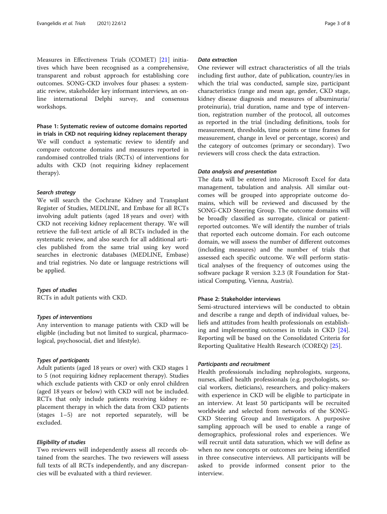Measures in Effectiveness Trials (COMET) [\[21](#page-7-0)] initiatives which have been recognised as a comprehensive, transparent and robust approach for establishing core outcomes. SONG-CKD involves four phases: a systematic review, stakeholder key informant interviews, an online international Delphi survey, and consensus workshops.

Phase 1: Systematic review of outcome domains reported in trials in CKD not requiring kidney replacement therapy We will conduct a systematic review to identify and compare outcome domains and measures reported in randomised controlled trials (RCTs) of interventions for adults with CKD (not requiring kidney replacement therapy).

## Search strategy

We will search the Cochrane Kidney and Transplant Register of Studies, MEDLINE, and Embase for all RCTs involving adult patients (aged 18 years and over) with CKD not receiving kidney replacement therapy. We will retrieve the full-text article of all RCTs included in the systematic review, and also search for all additional articles published from the same trial using key word searches in electronic databases (MEDLINE, Embase) and trial registries. No date or language restrictions will be applied.

## Types of studies

RCTs in adult patients with CKD.

## Types of interventions

Any intervention to manage patients with CKD will be eligible (including but not limited to surgical, pharmacological, psychosocial, diet and lifestyle).

## Types of participants

Adult patients (aged 18 years or over) with CKD stages 1 to 5 (not requiring kidney replacement therapy). Studies which exclude patients with CKD or only enrol children (aged 18 years or below) with CKD will not be included. RCTs that only include patients receiving kidney replacement therapy in which the data from CKD patients (stages 1–5) are not reported separately, will be excluded.

## Eligibility of studies

Two reviewers will independently assess all records obtained from the searches. The two reviewers will assess full texts of all RCTs independently, and any discrepancies will be evaluated with a third reviewer.

## Data extraction

One reviewer will extract characteristics of all the trials including first author, date of publication, country/ies in which the trial was conducted, sample size, participant characteristics (range and mean age, gender, CKD stage, kidney disease diagnosis and measures of albuminuria/ proteinuria), trial duration, name and type of intervention, registration number of the protocol, all outcomes as reported in the trial (including definitions, tools for measurement, thresholds, time points or time frames for measurement, change in level or percentage, scores) and the category of outcomes (primary or secondary). Two reviewers will cross check the data extraction.

## Data analysis and presentation

The data will be entered into Microsoft Excel for data management, tabulation and analysis. All similar outcomes will be grouped into appropriate outcome domains, which will be reviewed and discussed by the SONG-CKD Steering Group. The outcome domains will be broadly classified as surrogate, clinical or patientreported outcomes. We will identify the number of trials that reported each outcome domain. For each outcome domain, we will assess the number of different outcomes (including measures) and the number of trials that assessed each specific outcome. We will perform statistical analyses of the frequency of outcomes using the software package R version 3.2.3 (R Foundation for Statistical Computing, Vienna, Austria).

### Phase 2: Stakeholder interviews

Semi-structured interviews will be conducted to obtain and describe a range and depth of individual values, beliefs and attitudes from health professionals on establishing and implementing outcomes in trials in CKD [\[24](#page-7-0)]. Reporting will be based on the Consolidated Criteria for Reporting Qualitative Health Research (COREQ) [\[25](#page-7-0)].

### Participants and recruitment

Health professionals including nephrologists, surgeons, nurses, allied health professionals (e.g. psychologists, social workers, dieticians), researchers, and policy-makers with experience in CKD will be eligible to participate in an interview. At least 50 participants will be recruited worldwide and selected from networks of the SONG-CKD Steering Group and Investigators. A purposive sampling approach will be used to enable a range of demographics, professional roles and experiences. We will recruit until data saturation, which we will define as when no new concepts or outcomes are being identified in three consecutive interviews. All participants will be asked to provide informed consent prior to the interview.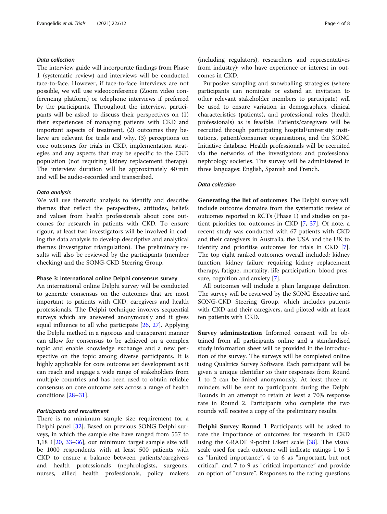## Data collection

The interview guide will incorporate findings from Phase 1 (systematic review) and interviews will be conducted face-to-face. However, if face-to-face interviews are not possible, we will use videoconference (Zoom video conferencing platform) or telephone interviews if preferred by the participants. Throughout the interview, participants will be asked to discuss their perspectives on (1) their experiences of managing patients with CKD and important aspects of treatment, (2) outcomes they believe are relevant for trials and why, (3) perceptions on core outcomes for trials in CKD, implementation strategies and any aspects that may be specific to the CKD population (not requiring kidney replacement therapy). The interview duration will be approximately 40 min and will be audio-recorded and transcribed.

### Data analysis

We will use thematic analysis to identify and describe themes that reflect the perspectives, attitudes, beliefs and values from health professionals about core outcomes for research in patients with CKD. To ensure rigour, at least two investigators will be involved in coding the data analysis to develop descriptive and analytical themes (investigator triangulation). The preliminary results will also be reviewed by the participants (member checking) and the SONG-CKD Steering Group.

## Phase 3: International online Delphi consensus survey

An international online Delphi survey will be conducted to generate consensus on the outcomes that are most important to patients with CKD, caregivers and health professionals. The Delphi technique involves sequential surveys which are answered anonymously and it gives equal influence to all who participate [\[26,](#page-7-0) [27\]](#page-7-0). Applying the Delphi method in a rigorous and transparent manner can allow for consensus to be achieved on a complex topic and enable knowledge exchange and a new perspective on the topic among diverse participants. It is highly applicable for core outcome set development as it can reach and engage a wide range of stakeholders from multiple countries and has been used to obtain reliable consensus on core outcome sets across a range of health conditions [[28](#page-7-0)–[31](#page-7-0)].

## Participants and recruitment

There is no minimum sample size requirement for a Delphi panel [[32\]](#page-7-0). Based on previous SONG Delphi surveys, in which the sample size have ranged from 557 to 1,18 1[\[20](#page-7-0), [33](#page-7-0)–[36\]](#page-7-0), our minimum target sample size will be 1000 respondents with at least 500 patients with CKD to ensure a balance between patients/caregivers and health professionals (nephrologists, surgeons, nurses, allied health professionals, policy makers

(including regulators), researchers and representatives from industry); who have experience or interest in outcomes in CKD.

Purposive sampling and snowballing strategies (where participants can nominate or extend an invitation to other relevant stakeholder members to participate) will be used to ensure variation in demographics, clinical characteristics (patients), and professional roles (health professionals) as is feasible. Patients/caregivers will be recruited through participating hospital/university institutions, patient/consumer organisations, and the SONG Initiative database. Health professionals will be recruited via the networks of the investigators and professional nephrology societies. The survey will be administered in three languages: English, Spanish and French.

## Data collection

Generating the list of outcomes The Delphi survey will include outcome domains from the systematic review of outcomes reported in RCTs (Phase 1) and studies on patient priorities for outcomes in CKD [[7,](#page-6-0) [37\]](#page-7-0). Of note, a recent study was conducted with 67 patients with CKD and their caregivers in Australia, the USA and the UK to identify and prioritise outcomes for trials in CKD [\[7](#page-6-0)]. The top eight ranked outcomes overall included: kidney function, kidney failure requiring kidney replacement therapy, fatigue, mortality, life participation, blood pressure, cognition and anxiety [[7\]](#page-6-0).

All outcomes will include a plain language definition. The survey will be reviewed by the SONG Executive and SONG-CKD Steering Group, which includes patients with CKD and their caregivers, and piloted with at least ten patients with CKD.

Survey administration Informed consent will be obtained from all participants online and a standardised study information sheet will be provided in the introduction of the survey. The surveys will be completed online using Qualtrics Survey Software. Each participant will be given a unique identifier so their responses from Round 1 to 2 can be linked anonymously. At least three reminders will be sent to participants during the Delphi Rounds in an attempt to retain at least a 70% response rate in Round 2. Participants who complete the two rounds will receive a copy of the preliminary results.

Delphi Survey Round 1 Participants will be asked to rate the importance of outcomes for research in CKD using the GRADE 9-point Likert scale [\[38](#page-7-0)]. The visual scale used for each outcome will indicate ratings 1 to 3 as "limited importance", 4 to 6 as "important, but not critical", and 7 to 9 as "critical importance" and provide an option of "unsure". Responses to the rating questions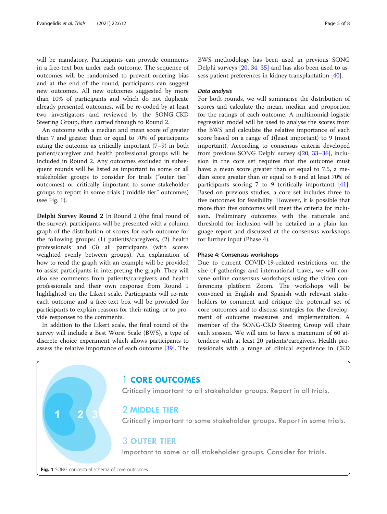<span id="page-4-0"></span>will be mandatory. Participants can provide comments in a free-text box under each outcome. The sequence of outcomes will be randomised to prevent ordering bias and at the end of the round, participants can suggest new outcomes. All new outcomes suggested by more than 10% of participants and which do not duplicate already presented outcomes, will be re-coded by at least two investigators and reviewed by the SONG-CKD Steering Group, then carried through to Round 2.

An outcome with a median and mean score of greater than 7 and greater than or equal to 70% of participants rating the outcome as critically important (7–9) in both patient/caregiver and health professional groups will be included in Round 2. Any outcomes excluded in subsequent rounds will be listed as important to some or all stakeholder groups to consider for trials ("outer tier" outcomes) or critically important to some stakeholder groups to report in some trials ("middle tier" outcomes) (see Fig. 1).

Delphi Survey Round 2 In Round 2 (the final round of the survey), participants will be presented with a column graph of the distribution of scores for each outcome for the following groups: (1) patients/caregivers, (2) health professionals and (3) all participants (with scores weighted evenly between groups). An explanation of how to read the graph with an example will be provided to assist participants in interpreting the graph. They will also see comments from patients/caregivers and health professionals and their own response from Round 1 highlighted on the Likert scale. Participants will re-rate each outcome and a free-text box will be provided for participants to explain reasons for their rating, or to provide responses to the comments.

In addition to the Likert scale, the final round of the survey will include a Best Worst Scale (BWS), a type of discrete choice experiment which allows participants to assess the relative importance of each outcome [\[39\]](#page-7-0). The

BWS methodology has been used in previous SONG Delphi surveys [\[20,](#page-7-0) [34](#page-7-0), [35](#page-7-0)] and has also been used to assess patient preferences in kidney transplantation [[40\]](#page-7-0).

## Data analysis

For both rounds, we will summarise the distribution of scores and calculate the mean, median and proportion for the ratings of each outcome. A multinomial logistic regression model will be used to analyse the scores from the BWS and calculate the relative importance of each score based on a range of 1(least important) to 9 (most important). According to consensus criteria developed from previous SONG Delphi survey s[[20,](#page-7-0) [33](#page-7-0)–[36\]](#page-7-0), inclusion in the core set requires that the outcome must have: a mean score greater than or equal to 7.5, a median score greater than or equal to 8 and at least 70% of participants scoring 7 to 9 (critically important) [\[41](#page-7-0)]. Based on previous studies, a core set includes three to five outcomes for feasibility. However, it is possible that more than five outcomes will meet the criteria for inclusion. Preliminary outcomes with the rationale and threshold for inclusion will be detailed in a plain language report and discussed at the consensus workshops for further input (Phase 4).

## Phase 4: Consensus workshops

Due to current COVID-19-related restrictions on the size of gatherings and international travel, we will convene online consensus workshops using the video conferencing platform Zoom. The workshops will be convened in English and Spanish with relevant stakeholders to comment and critique the potential set of core outcomes and to discuss strategies for the development of outcome measures and implementation. A member of the SONG-CKD Steering Group will chair each session. We will aim to have a maximum of 60 attendees; with at least 20 patients/caregivers. Health professionals with a range of clinical experience in CKD



## 1 CORE OUTCOMES

Critically important to all stakeholder groups. Report in all trials.

## 2 MIDDLE TIER

Critically important to some stakeholder groups. Report in some trials.

## **3 OUTER TIER**

Important to some or all stakeholder groups. Consider for trials.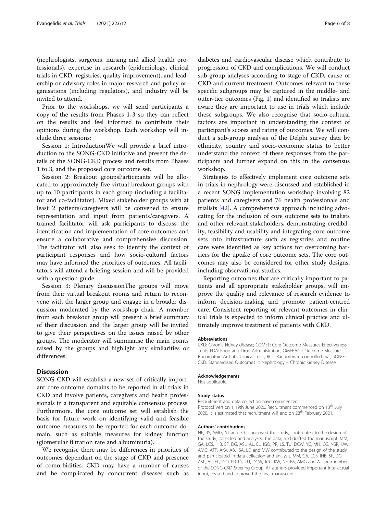(nephrologists, surgeons, nursing and allied health professionals), expertise in research (epidemiology, clinical trials in CKD, registries, quality improvement), and leadership or advisory roles in major research and policy organisations (including regulators), and industry will be invited to attend.

Prior to the workshops, we will send participants a copy of the results from Phases 1-3 so they can reflect on the results and feel informed to contribute their opinions during the workshop. Each workshop will include three sessions:

Session 1: IntroductionWe will provide a brief introduction to the SONG-CKD initiative and present the details of the SONG-CKD process and results from Phases 1 to 3, and the proposed core outcome set.

Session 2: Breakout groupsParticipants will be allocated to approximately five virtual breakout groups with up to 10 participants in each group (including a facilitator and co-facilitator). Mixed stakeholder groups with at least 2 patients/caregivers will be convened to ensure representation and input from patients/caregivers. A trained facilitator will ask participants to discuss the identification and implementation of core outcomes and ensure a collaborative and comprehensive discussion. The facilitator will also seek to identify the context of participant responses and how socio-cultural factors may have informed the priorities of outcomes. All facilitators will attend a briefing session and will be provided with a question guide.

Session 3: Plenary discussionThe groups will move from their virtual breakout rooms and return to reconvene with the larger group and engage in a broader discussion moderated by the workshop chair. A member from each breakout group will present a brief summary of their discussion and the larger group will be invited to give their perspectives on the issues raised by other groups. The moderator will summarise the main points raised by the groups and highlight any similarities or differences.

## **Discussion**

SONG-CKD will establish a new set of critically important core outcome domains to be reported in all trials in CKD and involve patients, caregivers and health professionals in a transparent and equitable consensus process. Furthermore, the core outcome set will establish the basis for future work on identifying valid and feasible outcome measures to be reported for each outcome domain, such as suitable measures for kidney function (glomerular filtration rate and albuminuria).

We recognise there may be differences in priorities of outcomes dependant on the stage of CKD and presence of comorbidities. CKD may have a number of causes and be complicated by concurrent diseases such as

diabetes and cardiovascular disease which contribute to progression of CKD and complications. We will conduct sub-group analyses according to stage of CKD, cause of CKD and current treatment. Outcomes relevant to these specific subgroups may be captured in the middle- and outer-tier outcomes (Fig. [1](#page-4-0)) and identified so trialists are aware they are important to use in trials which include these subgroups. We also recognise that socio-cultural factors are important in understanding the context of participant's scores and rating of outcomes. We will conduct a sub-group analysis of the Delphi survey data by ethnicity, country and socio-economic status to better understand the context of these responses from the participants and further expand on this in the consensus workshop.

Strategies to effectively implement core outcome sets in trials in nephrology were discussed and established in a recent SONG implementation workshop involving 82 patients and caregivers and 76 health professionals and trialists [[42\]](#page-7-0). A comprehensive approach including advocating for the inclusion of core outcome sets to trialists and other relevant stakeholders, demonstrating credibility, feasibility and usability and integrating core outcome sets into infrastructure such as registries and routine care were identified as key actions for overcoming barriers for the uptake of core outcome sets. The core outcomes may also be considered for other study designs, including observational studies.

Reporting outcomes that are critically important to patients and all appropriate stakeholder groups, will improve the quality and relevance of research evidence to inform decision-making and promote patient-centred care. Consistent reporting of relevant outcomes in clinical trials is expected to inform clinical practice and ultimately improve treatment of patients with CKD.

### Abbreviations

CKD: Chronic kidney disease; COMET: Core Outcome Measures Effectiveness Trials; FDA: Food and Drug Administration; OMERACT: Outcome Measures Rheumatoid Arthritis Clinical Trials; RCT: Randomised controlled trial; SONG-CKD: Standardised Outcomes in Nephrology – Chronic Kidney Disease

#### Acknowledgements

Not applicable.

#### Study status

Recruitment and data collection have commenced. Protocol Version 1 19th June 2020. Recruitment commenced on 13<sup>th</sup> July 2020. It is estimated that recruitment will end on 28<sup>th</sup> February 2021.

#### Authors' contributions

NE, BS, AMG, AT and JCC conceived the study, contributed to the design of the study, collected and analysed the data, and drafted the manuscript. MM, GA, LCS, IHB, SF, DG, ASL, AL, EL, IGO, PR, LS, TU, DCW, YC, MH, CG, NSR, KW, AMG, ATP, AKV, ABJ, SA, LD and MW contributed to the design of the study and participated in data collection and analysis. MM, GA, LCS, IHB, SF, DG, ASL, AL, EL, IGO, PR, LS, TU, DCW, JCC, KW, NE, BS, AMG and AT are members of the SONG-CKD Steering Group. All authors provided important intellectual input, revised and approved the final manuscript.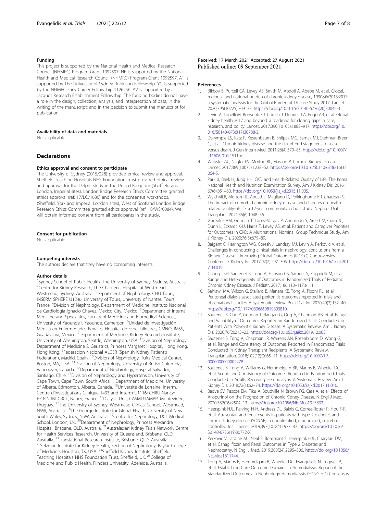## <span id="page-6-0"></span>Funding

This project is supported by the National Health and Medical Research Council (NHMRC) Program Grant 1092597. NE is supported by the National Health and Medical Research Council (NHMRC) Program Grant 1092597. AT is supported by The University of Sydney Robinson Fellowship. YC is supported by the NHMRC Early Career Fellowship 1126256. AV is supported by a Jacquot Research Establishment Fellowship. The funding bodies do not have a role in the design, collection, analysis, and interpretation of data; in the writing of the manuscript; and in the decision to submit the manuscript for publication.

## Availability of data and materials

Not applicable.

## **Declarations**

### Ethics approval and consent to participate

The University of Sydney (2015/228) provided ethical review and approval. Sheffield Teaching Hospitals NHS Foundation Trust provided ethical review and approval for the Delphi study in the United Kingdom (Sheffield and London, Imperial sites), London Bridge Research Ethics Committee granted ethics approval (ref: 17/LO/1630) and for the consensus workshops, (Sheffield, York and Imperial London sites), West of Scotland London Bridge Research Ethics Committee granted ethics approval (ref: 18/WS/0084). We will obtain informed consent from all participants in the study.

### Consent for publication

Not applicable

### Competing interests

The authors declare that they have no competing interests.

### Author details

<sup>1</sup>Sydney School of Public Health, The University of Sydney, Sydney, Australia. <sup>2</sup> Centre for Kidney Research, The Children's Hospital at Westmead, Westmead, Sydney, Australia. <sup>3</sup>Department of Nephrology, CHU Tours, INSERM SPHERE U1246, University of Tours, University of Nantes, Tours, France. <sup>4</sup>Division of Nephrology, Department of Medicine, Instituto Nacional de Cardiología Ignacio Chávez, Mexico City, Mexico. <sup>5</sup>Department of Internal Medicine and Specialties, Faculty of Medicine and Biomedical Sciences, University of Yaounde I, Yaounde, Cameroon. <sup>6</sup>Unidad de Investigación Médica en Enfermedades Renales, Hospital de Especialidades, CMNO, IMSS, Guadalajara, Mexico. <sup>7</sup>Department of Medicine, Kidney Research Institute, University of Washington, Seattle, Washington, USA. <sup>8</sup>Division of Nephrology, Department of Medicine & Geriatrics, Princess Margaret Hospital, Hong Kong, Hong Kong. <sup>9</sup> Federacion Nacional ALCER (Spanish Kidney Patient's Federation), Madrid, Spain. <sup>10</sup>Division of Nephrology, Tufts Medical Center, Boston, MA, USA. <sup>11</sup>Division of Nephrology, University of British Columbia, Vancouver, Canada. 12Department of Nephrology, Hospital Salvador, Santiago, Chile. <sup>13</sup>Division of Nephrology and Hypertension, University of Cape Town, Cape Town, South Africa. 14Department of Medicine, University of Alberta, Edmonton, Alberta, Canada. 15Université de Lorraine, Inserm, Centre d'Investigations Clinique 1433 and Inserm U1116; CHRU Nancy; F-CRIN INI-CRCT, Nancy, France. <sup>16</sup>Dialysis Unit, CASMU-IAMPP, Montevideo, Uruguay. 17The University of Sydney, Westmead Clinical School, Westmead, NSW, Australia. 18The George Institute for Global Health, University of New South Wales, Sydney, NSW, Australia. <sup>19</sup>Centre for Nephrology, UCL Medical School, London, UK. <sup>20</sup>Department of Nephrology, Princess Alexandra Hospital, Brisbane, QLD, Australia. <sup>21</sup>Australasian Kidney Trials Network, Centre for Health Services Research, University of Queensland, Brisbane, QLD, Australia.<br>Australia. <sup>22</sup>Translational Research Institute, Brisbane, QLD, Australia. <sup>23</sup>Selzman Institute for Kidney Health, Section of Nephrology, Baylor College of Medicine, Houston, TX, USA. 24Sheffield Kidney Institute, Sheffield Teaching Hospitals NHS Foundation Trust, Sheffield, UK.<sup>25</sup>College of Medicine and Public Health, Flinders University, Adelaide, Australia.

## Received: 17 March 2021 Accepted: 27 August 2021 Published online: 09 September 2021

#### References

- 1. Bikbov B, Purcell CA, Levey AS, Smith M, Abdoli A, Abebe M, et al. Global, regional, and national burden of chronic kidney disease, 1990–2017: a systematic analysis for the Global Burden of Disease Study 2017. Lancet. 2020;395(10225):709–33. [https://doi.org/10.1016/S0140-6736\(20\)30045-3.](https://doi.org/10.1016/S0140-6736(20)30045-3)
- 2. Levin A, Tonelli M, Bonventre J, Coresh J, Donner J-A, Fogo AB, et al. Global kidney health 2017 and beyond: a roadmap for closing gaps in care, research, and policy. Lancet. 2017;390(10105):1888–917. [https://doi.org/10.1](https://doi.org/10.1016/S0140-6736(17)30788-2) [016/S0140-6736\(17\)30788-2](https://doi.org/10.1016/S0140-6736(17)30788-2).
- 3. Dalrymple LS, Katz R, Kestenbaum B, Shlipak MG, Sarnak MJ, Stehman-Breen C, et al. Chronic kidney disease and the risk of end-stage renal disease versus death. J Gen Intern Med. 2011;26(4):379–85. [https://doi.org/10.1007/](https://doi.org/10.1007/s11606-010-1511-x) [s11606-010-1511-x.](https://doi.org/10.1007/s11606-010-1511-x)
- 4. Webster AC, Nagler EV, Morton RL, Masson P. Chronic Kidney Disease. Lancet. 2017;389(10075):1238–52. [https://doi.org/10.1016/S0140-6736\(16\)32](https://doi.org/10.1016/S0140-6736(16)32064-5) [064-5](https://doi.org/10.1016/S0140-6736(16)32064-5).
- 5. Park JI, Baek H, Jung HH. CKD and Health-Related Quality of Life: The Korea National Health and Nutrition Examination Survey. Am J Kidney Dis. 2016; 67(6):851–60. <https://doi.org/10.1053/j.ajkd.2015.11.005>.
- 6. Wyld MLR, Morton RL, Aouad L, Magliano D, Polkinghorne KR, Chadban S. The impact of comorbid chronic kidney disease and diabetes on healthrelated quality-of-life: a 12-year community cohort study. Nephrol Dial Transplant. 2021;36(6):1048–56.
- 7. Gonzalez AM, Gutman T, Lopez-Vargas P, Anumudu S, Arce CM, Craig JC, Dunn L, Eckardt K-U, Harris T, Levey AS, et al. Patient and Caregiver Priorities for Outcomes in CKD: A Multinational Nominal Group Technique Study. Am J Kidney Dis. 2020;76(5):679–89.
- 8. Baigent C, Herrington WG, Coresh J, Landray MJ, Levin A, Perkovic V, et al. Challenges in conducting clinical trials in nephrology: conclusions from a Kidney Disease—Improving Global Outcomes (KDIGO) Controversies Conference. Kidney Int. 2017;92(2):297–305. [https://doi.org/10.1016/j.kint.201](https://doi.org/10.1016/j.kint.2017.04.019) [7.04.019.](https://doi.org/10.1016/j.kint.2017.04.019)
- 9. Chong LSH, Sautenet B, Tong A, Hanson CS, Samuel S, Zappitelli M, et al. Range and Heterogeneity of Outcomes in Randomized Trials of Pediatric Chronic Kidney Disease. J Pediatr. 2017;186:110–117.e111.
- Sahlawi MA, Wilson G, Stallard B, Manera KE, Tong A, Pisoni RL, et al. Peritoneal dialysis-associated peritonitis outcomes reported in trials and observational studies: A systematic review. Perit Dial Int. 2020;40(2):132–40. [https://doi.org/10.1177/0896860819893810.](https://doi.org/10.1177/0896860819893810)
- 11. Sautenet B, Cho Y, Gutman T, Rangan G, Ong A, Chapman AB, et al. Range and Variability of Outcomes Reported in Randomized Trials Conducted in Patients With Polycystic Kidney Disease: A Systematic Review. Am J Kidney Dis. 2020;76(2):213–23. <https://doi.org/10.1053/j.ajkd.2019.12.003>.
- 12. Sautenet B, Tong A, Chapman JR, Warrens AN, Rosenbloom D, Wong G, et al. Range and Consistency of Outcomes Reported in Randomized Trials Conducted in Kidney Transplant Recipients: A Systematic Review. Transplantation. 2018;102(12):2065–71. [https://doi.org/10.1097/TP.](https://doi.org/10.1097/TP.0000000000002278) [0000000000002278](https://doi.org/10.1097/TP.0000000000002278).
- 13. Sautenet B, Tong A, Williams G, Hemmelgarn BR, Manns B, Wheeler DC, et al. Scope and Consistency of Outcomes Reported in Randomized Trials Conducted in Adults Receiving Hemodialysis: A Systematic Review. Am J Kidney Dis. 2018;72(1):62–74. <https://doi.org/10.1053/j.ajkd.2017.11.010>.
- 14. Badve SV, Pascoe EM, Tiku A, Boudville N, Brown FG, Cass A, et al. Effects of Allopurinol on the Progression of Chronic Kidney Disease. N Engl J Med. 2020;382(26):2504–13. [https://doi.org/10.1056/NEJMoa1915833.](https://doi.org/10.1056/NEJMoa1915833)
- 15. Heerspink HJL, Parving H-H, Andress DL, Bakris G, Correa-Rotter R, Hou F-F, et al. Atrasentan and renal events in patients with type 2 diabetes and chronic kidney disease (SONAR): a double-blind, randomised, placebocontrolled trial. Lancet. 2019;393(10184):1937–47. [https://doi.org/10.1016/](https://doi.org/10.1016/S0140-6736(19)30772-X) [S0140-6736\(19\)30772-X.](https://doi.org/10.1016/S0140-6736(19)30772-X)
- 16. Perkovic V, Jardine MJ, Neal B, Bompoint S, Heerspink HJL, Charytan DM, et al. Canagliflozin and Renal Outcomes in Type 2 Diabetes and Nephropathy. N Engl J Med. 2019;380(24):2295–306. [https://doi.org/10.1056/](https://doi.org/10.1056/NEJMoa1811744) [NEJMoa1811744](https://doi.org/10.1056/NEJMoa1811744).
- 17. Tong A, Manns B, Hemmelgarn B, Wheeler DC, Evangelidis N, Tugwell P, et al. Establishing Core Outcome Domains in Hemodialysis: Report of the Standardized Outcomes in Nephrology-Hemodialysis (SONG-HD) Consensus